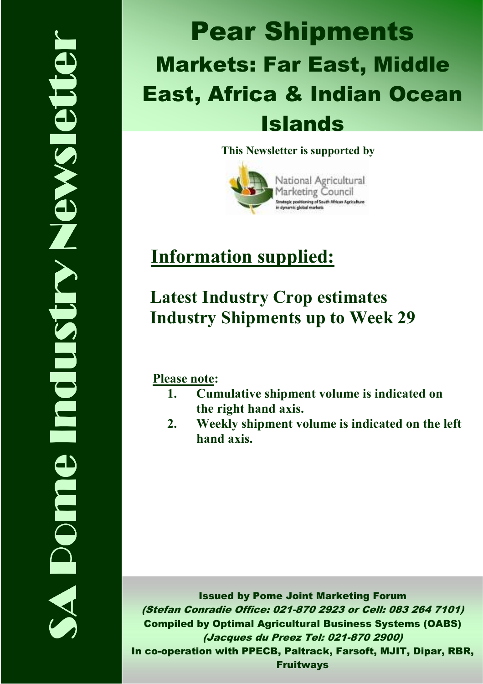# Markets: Far East, Middle Pear Shipments East, Africa & Indian Ocean Islands

This Newsletter is supported by



# Information supplied:

## Latest Industry Crop estimates Industry Shipments up to Week 29

Please note:

- 1. Cumulative shipment volume is indicated on the right hand axis.
- 2. Weekly shipment volume is indicated on the left hand axis.

Issued by Pome Joint Marketing Forum (Stefan Conradie Office: 021-870 2923 or Cell: 083 264 7101) Compiled by Optimal Agricultural Business Systems (OABS) (Jacques du Preez Tel: 021-870 2900) In co-operation with PPECB, Paltrack, Farsoft, MJIT, Dipar, RBR, Fruitways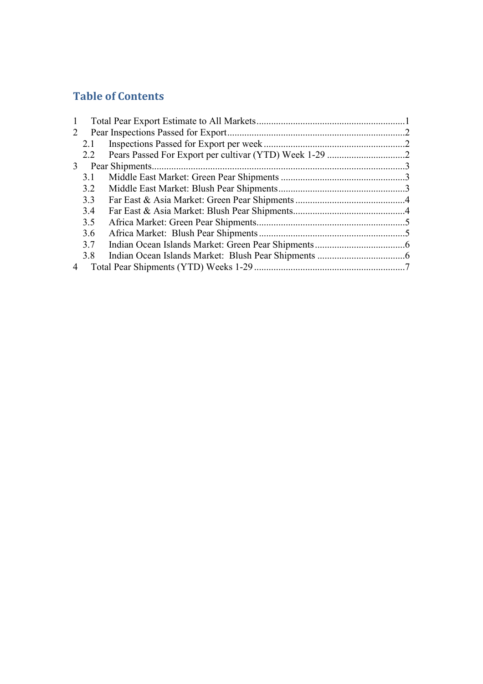## Table of Contents

| $\mathbf{1}$   |     |  |
|----------------|-----|--|
| 2              |     |  |
|                | 2.1 |  |
|                | 2.2 |  |
|                |     |  |
|                | 3.1 |  |
|                | 3.2 |  |
|                | 3.3 |  |
|                | 3.4 |  |
|                | 3.5 |  |
|                | 3.6 |  |
|                | 3.7 |  |
|                | 3.8 |  |
| $\overline{4}$ |     |  |
|                |     |  |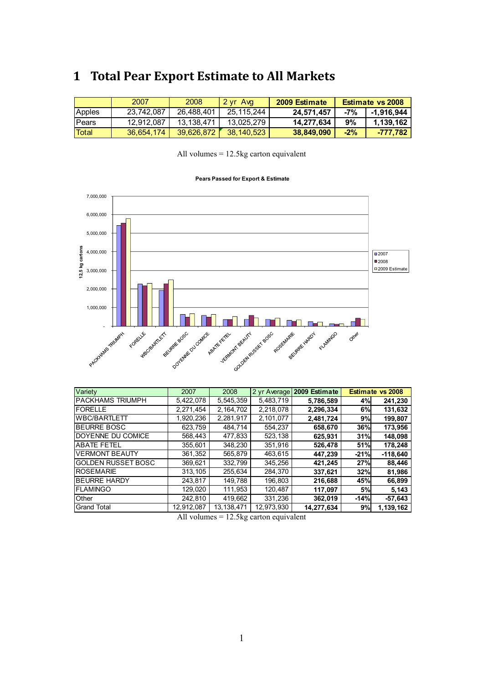## 1 Total Pear Export Estimate to All Markets

|               | 2007       | 2008       | 2 yr Avg   | 2009 Estimate | <b>Estimate vs 2008</b> |            |
|---------------|------------|------------|------------|---------------|-------------------------|------------|
| Apples        | 23,742,087 | 26,488,401 | 25,115,244 | 24,571,457    | -7%                     | -1,916,944 |
| <b>IPears</b> | 12.912.087 | 13.138.471 | 13.025.279 | 14,277,634    | 9%                      | 1,139,162  |
| Total         | 36,654,174 | 39.626.872 | 38,140,523 | 38,849,090    | $-2%$                   | -777.782   |

| All volumes $= 12.5$ kg carton equivalent |  |  |
|-------------------------------------------|--|--|
|-------------------------------------------|--|--|

#### Pears Passed for Export & Estimate



| Variety                   | 2007       | 2008         | 2 yr Average | 2009 Estimate |        | <b>Estimate vs 2008</b> |
|---------------------------|------------|--------------|--------------|---------------|--------|-------------------------|
| <b>PACKHAMS TRIUMPH</b>   | 5,422,078  | 5,545,359    | 5,483,719    | 5,786,589     | 4%     | 241,230                 |
| IFORELLE                  | 2.271.454  | 2, 164, 702  | 2,218,078    | 2,296,334     | 6%     | 131,632                 |
| WBC/BARTLETT              | 1,920,236  | 2,281,917    | 2,101,077    | 2,481,724     | 9%     | 199,807                 |
| <b>IBEURRE BOSC</b>       | 623.759    | 484.714      | 554.237      | 658,670       | 36%    | 173,956                 |
| DOYENNE DU COMICE         | 568,443    | 477,833      | 523,138      | 625,931       | 31%    | 148,098                 |
| <b>ABATE FETEL</b>        | 355,601    | 348,230      | 351,916      | 526,478       | 51%    | 178,248                 |
| <b>VERMONT BEAUTY</b>     | 361.352    | 565.879      | 463.615      | 447.239       | $-21%$ | $-118.640$              |
| <b>GOLDEN RUSSET BOSC</b> | 369,621    | 332,799      | 345,256      | 421,245       | 27%    | 88,446                  |
| <b>ROSEMARIE</b>          | 313.105    | 255.634      | 284.370      | 337,621       | 32%    | 81,986                  |
| <b>BEURRE HARDY</b>       | 243.817    | 149,788      | 196,803      | 216,688       | 45%    | 66,899                  |
| <b>FLAMINGO</b>           | 129,020    | 111,953      | 120,487      | 117,097       | 5%     | 5,143                   |
| Other                     | 242.810    | 419.662      | 331,236      | 362.019       | $-14%$ | $-57,643$               |
| <b>Grand Total</b>        | 12,912,087 | 13, 138, 471 | 12,973,930   | 14,277,634    | 9%     | 1,139,162               |

All volumes = 12.5kg carton equivalent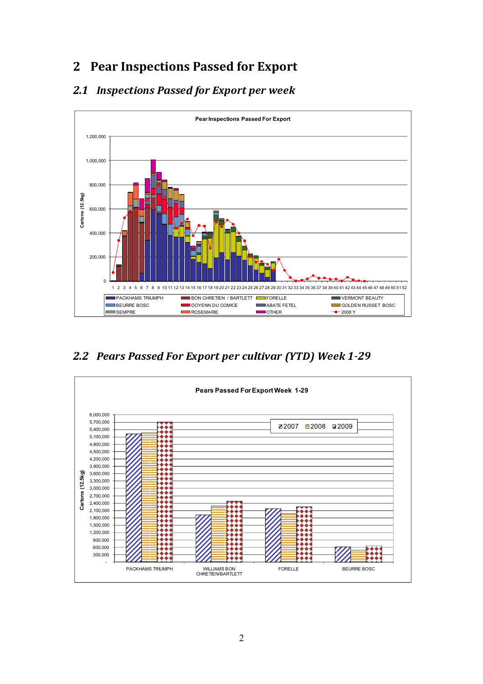## 2 Pear Inspections Passed for Export

#### <sup>2</sup> . <sup>1</sup> <sup>I</sup> <sup>n</sup> <sup>s</sup> <sup>p</sup> <sup>e</sup> <sup>c</sup> <sup>t</sup> <sup>i</sup> <sup>o</sup> <sup>n</sup> <sup>s</sup> <sup>P</sup> <sup>a</sup> <sup>s</sup> <sup>s</sup> <sup>e</sup> <sup>d</sup> <sup>f</sup> <sup>o</sup> <sup>r</sup> <sup>E</sup> <sup>x</sup> <sup>p</sup> <sup>o</sup> <sup>r</sup> <sup>t</sup> <sup>p</sup> <sup>e</sup> <sup>r</sup> <sup>w</sup> <sup>e</sup> <sup>e</sup> <sup>k</sup>



<sup>2</sup> . <sup>2</sup> <sup>P</sup> <sup>e</sup> <sup>a</sup> <sup>r</sup> <sup>s</sup> <sup>P</sup> <sup>a</sup> <sup>s</sup> <sup>s</sup> <sup>e</sup> <sup>d</sup> <sup>F</sup> <sup>o</sup> <sup>r</sup> <sup>E</sup> <sup>x</sup> <sup>p</sup> <sup>o</sup> <sup>r</sup> <sup>t</sup> <sup>p</sup> <sup>e</sup> <sup>r</sup> <sup>c</sup> <sup>u</sup> <sup>l</sup> <sup>t</sup> <sup>i</sup> <sup>v</sup> <sup>a</sup> <sup>r</sup> ( <sup>Y</sup> <sup>T</sup> <sup>D</sup> ) <sup>W</sup> <sup>e</sup> <sup>e</sup> <sup>k</sup> - 2 - 2 - 2 9 - 2 9 - 2 9 - 2 9 - 2 9 - 2 9 - 2 9 - 2 9 - 2 9 - 2 9 - 2 9 - 2 9 - 2 9 - 2 9 - 2 9 - 2 9 - 2 9 - 2 9 - 2 9 - 2 9 - 2 9 - 2 9 - 2 9 - 2 9 - 2 9 - 2 9 - 2 9 - 2 9 - 2 9 - 2 9 - 2 9 - 2 9 - 2 9 - 2 9 - 2 9 - 2 9

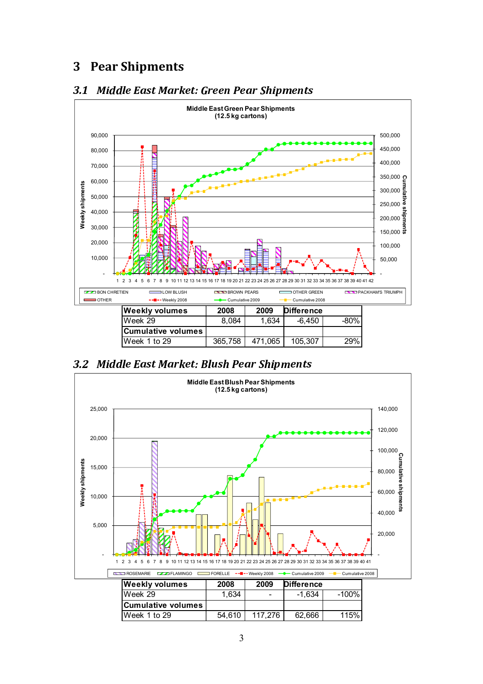## 3 Pear Shipments



#### <sup>3</sup> . <sup>1</sup> <sup>M</sup> <sup>i</sup> <sup>d</sup> <sup>d</sup> <sup>l</sup> <sup>e</sup> <sup>E</sup> <sup>a</sup> <sup>s</sup> <sup>t</sup> <sup>M</sup> <sup>a</sup> <sup>r</sup> <sup>k</sup> <sup>e</sup> <sup>t</sup> : <sup>G</sup> <sup>r</sup> <sup>e</sup> <sup>e</sup> <sup>n</sup> <sup>P</sup> <sup>e</sup> <sup>a</sup> <sup>r</sup> <sup>S</sup> <sup>h</sup> <sup>i</sup> <sup>p</sup> <sup>m</sup> <sup>e</sup> <sup>n</sup> <sup>t</sup> <sup>s</sup>

<sup>3</sup> . <sup>2</sup> <sup>M</sup> <sup>i</sup> <sup>d</sup> <sup>d</sup> <sup>l</sup> <sup>e</sup> <sup>E</sup> <sup>a</sup> <sup>s</sup> <sup>t</sup> <sup>M</sup> <sup>a</sup> <sup>r</sup> <sup>k</sup> <sup>e</sup> <sup>t</sup> : <sup>B</sup> <sup>l</sup> <sup>u</sup> <sup>s</sup> <sup>h</sup> <sup>P</sup> <sup>e</sup> <sup>a</sup> <sup>r</sup> <sup>S</sup> <sup>h</sup> <sup>i</sup> <sup>p</sup> <sup>m</sup> <sup>e</sup> <sup>n</sup> <sup>t</sup> <sup>s</sup>

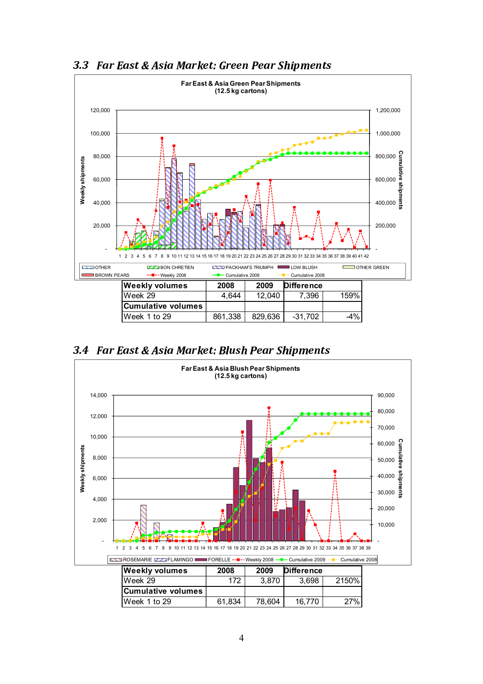

#### <sup>3</sup> . <sup>3</sup> <sup>F</sup> <sup>a</sup> <sup>r</sup> <sup>E</sup> <sup>a</sup> <sup>s</sup> <sup>t</sup> & <sup>A</sup> <sup>s</sup> <sup>i</sup> <sup>a</sup> <sup>M</sup> <sup>a</sup> <sup>r</sup> <sup>k</sup> <sup>e</sup> <sup>t</sup> : <sup>G</sup> <sup>r</sup> <sup>e</sup> <sup>e</sup> <sup>n</sup> <sup>P</sup> <sup>e</sup> <sup>a</sup> <sup>r</sup> <sup>S</sup> <sup>h</sup> <sup>i</sup> <sup>p</sup> <sup>m</sup> <sup>e</sup> <sup>n</sup> <sup>t</sup> <sup>s</sup>

<sup>3</sup> . <sup>4</sup> <sup>F</sup> <sup>a</sup> <sup>r</sup> <sup>E</sup> <sup>a</sup> <sup>s</sup> <sup>t</sup> & <sup>A</sup> <sup>s</sup> <sup>i</sup> <sup>a</sup> <sup>M</sup> <sup>a</sup> <sup>r</sup> <sup>k</sup> <sup>e</sup> <sup>t</sup> : <sup>B</sup> <sup>l</sup> <sup>u</sup> <sup>s</sup> <sup>h</sup> <sup>P</sup> <sup>e</sup> <sup>a</sup> <sup>r</sup> <sup>S</sup> <sup>h</sup> <sup>i</sup> <sup>p</sup> <sup>m</sup> <sup>e</sup> <sup>n</sup> <sup>t</sup> <sup>s</sup>

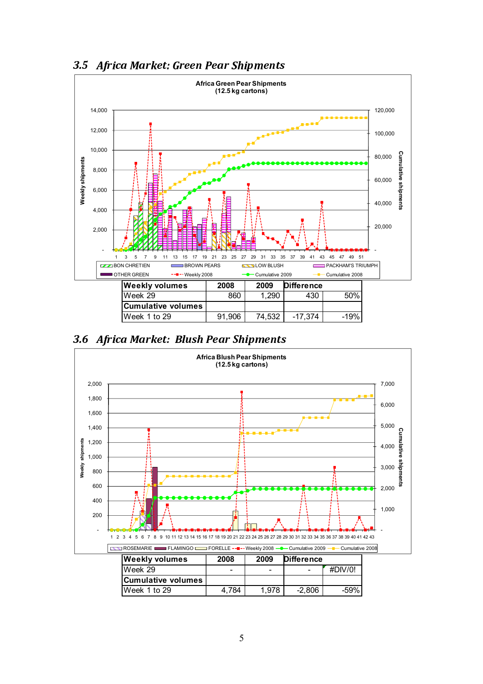

<sup>3</sup> . <sup>5</sup> <sup>A</sup> <sup>f</sup> <sup>r</sup> <sup>i</sup> <sup>c</sup> <sup>a</sup> <sup>M</sup> <sup>a</sup> <sup>r</sup> <sup>k</sup> <sup>e</sup> <sup>t</sup> : <sup>G</sup> <sup>r</sup> <sup>e</sup> <sup>e</sup> <sup>n</sup> <sup>P</sup> <sup>e</sup> <sup>a</sup> <sup>r</sup> <sup>S</sup> <sup>h</sup> <sup>i</sup> <sup>p</sup> <sup>m</sup> <sup>e</sup> <sup>n</sup> <sup>t</sup> <sup>s</sup>



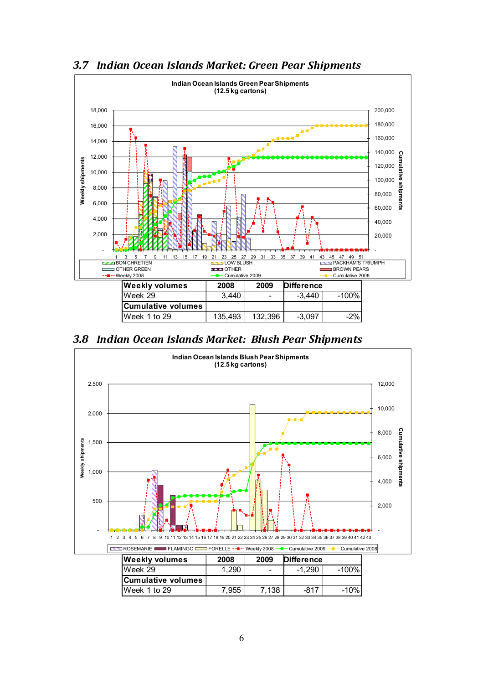

#### <sup>3</sup> . <sup>7</sup> <sup>I</sup> <sup>n</sup> <sup>d</sup> <sup>i</sup> <sup>a</sup> <sup>n</sup> <sup>O</sup> <sup>c</sup> <sup>e</sup> <sup>a</sup> <sup>n</sup> <sup>I</sup> <sup>s</sup> <sup>l</sup> <sup>a</sup> <sup>n</sup> <sup>d</sup> <sup>s</sup> <sup>M</sup> <sup>a</sup> <sup>r</sup> <sup>k</sup> <sup>e</sup> <sup>t</sup> : <sup>G</sup> <sup>r</sup> <sup>e</sup> <sup>e</sup> <sup>n</sup> <sup>P</sup> <sup>e</sup> <sup>a</sup> <sup>r</sup> <sup>S</sup> <sup>h</sup> <sup>i</sup> <sup>p</sup> <sup>m</sup> <sup>e</sup> <sup>n</sup> <sup>t</sup> <sup>s</sup>

<sup>3</sup> . <sup>8</sup> <sup>I</sup> <sup>n</sup> <sup>d</sup> <sup>i</sup> <sup>a</sup> <sup>n</sup> <sup>O</sup> <sup>c</sup> <sup>e</sup> <sup>a</sup> <sup>n</sup> <sup>I</sup> <sup>s</sup> <sup>l</sup> <sup>a</sup> <sup>n</sup> <sup>d</sup> <sup>s</sup> <sup>M</sup> <sup>a</sup> <sup>r</sup> <sup>k</sup> <sup>e</sup> <sup>t</sup> : <sup>B</sup> <sup>l</sup> <sup>u</sup> <sup>s</sup> <sup>h</sup> <sup>P</sup> <sup>e</sup> <sup>a</sup> <sup>r</sup> <sup>S</sup> <sup>h</sup> <sup>i</sup> <sup>p</sup> <sup>m</sup> <sup>e</sup> <sup>n</sup> <sup>t</sup> <sup>s</sup>